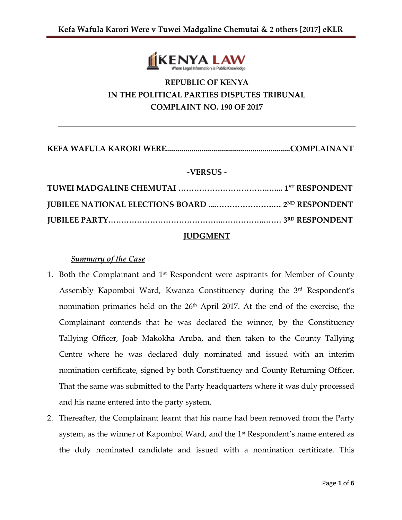

# **REPUBLIC OF KENYA IN THE POLITICAL PARTIES DISPUTES TRIBUNAL COMPLAINT NO. 190 OF 2017**

**KEFA WAFULA KARORI WERE...............................................................COMPLAINANT**

# **-VERSUS -**

# **JUDGMENT**

# *Summary of the Case*

- 1. Both the Complainant and  $1<sup>st</sup>$  Respondent were aspirants for Member of County Assembly Kapomboi Ward, Kwanza Constituency during the 3rd Respondent's nomination primaries held on the 26<sup>th</sup> April 2017. At the end of the exercise, the Complainant contends that he was declared the winner, by the Constituency Tallying Officer, Joab Makokha Aruba, and then taken to the County Tallying Centre where he was declared duly nominated and issued with an interim nomination certificate, signed by both Constituency and County Returning Officer. That the same was submitted to the Party headquarters where it was duly processed and his name entered into the party system.
- 2. Thereafter, the Complainant learnt that his name had been removed from the Party system, as the winner of Kapomboi Ward, and the 1<sup>st</sup> Respondent's name entered as the duly nominated candidate and issued with a nomination certificate. This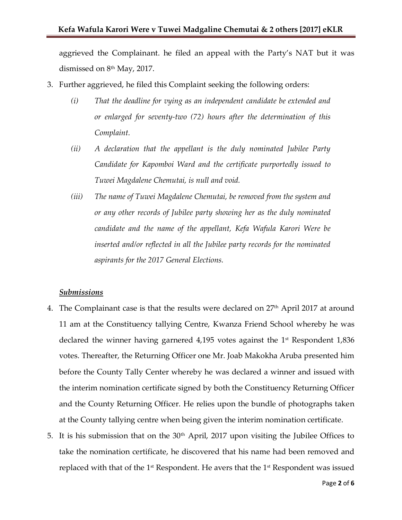aggrieved the Complainant. he filed an appeal with the Party's NAT but it was dismissed on 8<sup>th</sup> May, 2017.

- 3. Further aggrieved, he filed this Complaint seeking the following orders:
	- *(i) That the deadline for vying as an independent candidate be extended and or enlarged for seventy-two (72) hours after the determination of this Complaint.*
	- *(ii) A declaration that the appellant is the duly nominated Jubilee Party Candidate for Kapomboi Ward and the certificate purportedly issued to Tuwei Magdalene Chemutai, is null and void.*
	- *(iii) The name of Tuwei Magdalene Chemutai, be removed from the system and or any other records of Jubilee party showing her as the duly nominated candidate and the name of the appellant, Kefa Wafula Karori Were be inserted and/or reflected in all the Jubilee party records for the nominated aspirants for the 2017 General Elections.*

#### *Submissions*

- 4. The Complainant case is that the results were declared on 27<sup>th</sup> April 2017 at around 11 am at the Constituency tallying Centre, Kwanza Friend School whereby he was declared the winner having garnered 4,195 votes against the  $1$ <sup>st</sup> Respondent 1,836 votes. Thereafter, the Returning Officer one Mr. Joab Makokha Aruba presented him before the County Tally Center whereby he was declared a winner and issued with the interim nomination certificate signed by both the Constituency Returning Officer and the County Returning Officer. He relies upon the bundle of photographs taken at the County tallying centre when being given the interim nomination certificate.
- 5. It is his submission that on the  $30<sup>th</sup>$  April, 2017 upon visiting the Jubilee Offices to take the nomination certificate, he discovered that his name had been removed and replaced with that of the  $1<sup>st</sup>$  Respondent. He avers that the  $1<sup>st</sup>$  Respondent was issued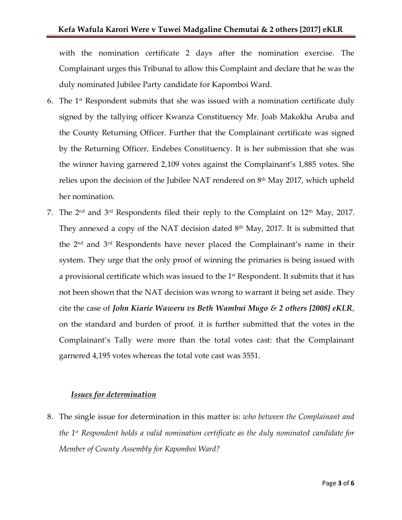with the nomination certificate 2 days after the nomination exercise. The Complainant urges this Tribunal to allow this Complaint and declare that he was the duly nominated Jubilee Party candidate for Kapomboi Ward.

- 6. The  $1<sup>st</sup>$  Respondent submits that she was issued with a nomination certificate duly signed by the tallying officer Kwanza Constituency Mr. Joab Makokha Aruba and the County Returning Officer. Further that the Complainant certificate was signed by the Returning Officer, Endebes Constituency. It is her submission that she was the winner having garnered 2,109 votes against the Complainant's 1,885 votes. She relies upon the decision of the Jubilee NAT rendered on 8th May 2017, which upheld her nomination.
- 7. The 2nd and 3rd Respondents filed their reply to the Complaint on 12th May, 2017. They annexed a copy of the NAT decision dated  $8<sup>th</sup>$  May, 2017. It is submitted that the 2nd and 3rd Respondents have never placed the Complainant's name in their system. They urge that the only proof of winning the primaries is being issued with a provisional certificate which was issued to the  $1<sup>st</sup>$  Respondent. It submits that it has not been shown that the NAT decision was wrong to warrant it being set aside. They cite the case of *John Kiarie Waweru vs Beth Wambui Mugo & 2 others [2008] eKLR*, on the standard and burden of proof. it is further submitted that the votes in the Complainant's Tally were more than the total votes cast: that the Complainant garnered 4,195 votes whereas the total vote cast was 3551.

#### *Issues for determination*

8. The single issue for determination in this matter is: *who between the Complainant and the 1st Respondent holds a valid nomination certificate as the duly nominated candidate for Member of County Assembly for Kapomboi Ward?*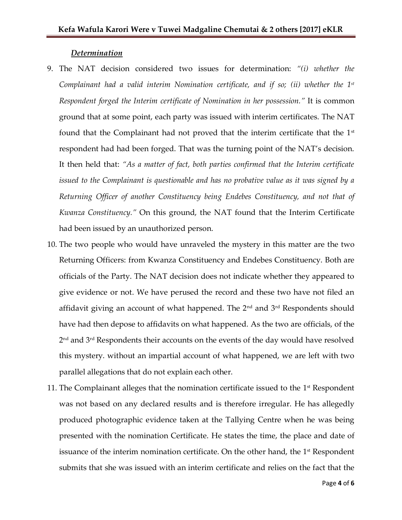#### *Determination*

- 9. The NAT decision considered two issues for determination: *"(i) whether the Complainant had a valid interim Nomination certificate, and if so; (ii) whether the 1 st Respondent forged the Interim certificate of Nomination in her possession."* It is common ground that at some point, each party was issued with interim certificates. The NAT found that the Complainant had not proved that the interim certificate that the 1<sup>st</sup> respondent had had been forged. That was the turning point of the NAT's decision. It then held that: *"As a matter of fact, both parties confirmed that the Interim certificate issued to the Complainant is questionable and has no probative value as it was signed by a Returning Officer of another Constituency being Endebes Constituency, and not that of Kwanza Constituency."* On this ground, the NAT found that the Interim Certificate had been issued by an unauthorized person.
- 10. The two people who would have unraveled the mystery in this matter are the two Returning Officers: from Kwanza Constituency and Endebes Constituency. Both are officials of the Party. The NAT decision does not indicate whether they appeared to give evidence or not. We have perused the record and these two have not filed an affidavit giving an account of what happened. The  $2<sup>nd</sup>$  and  $3<sup>rd</sup>$  Respondents should have had then depose to affidavits on what happened. As the two are officials, of the 2 nd and 3rd Respondents their accounts on the events of the day would have resolved this mystery. without an impartial account of what happened, we are left with two parallel allegations that do not explain each other.
- 11. The Complainant alleges that the nomination certificate issued to the  $1<sup>st</sup>$  Respondent was not based on any declared results and is therefore irregular. He has allegedly produced photographic evidence taken at the Tallying Centre when he was being presented with the nomination Certificate. He states the time, the place and date of issuance of the interim nomination certificate. On the other hand, the  $1<sup>st</sup>$  Respondent submits that she was issued with an interim certificate and relies on the fact that the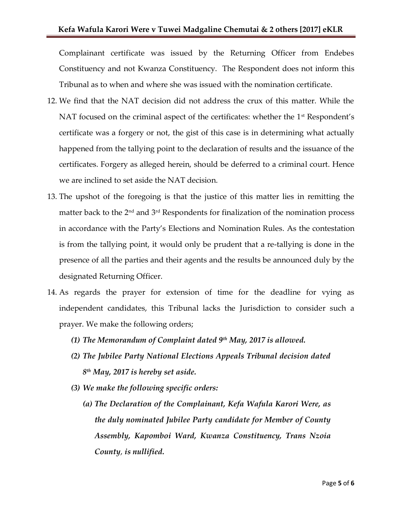Complainant certificate was issued by the Returning Officer from Endebes Constituency and not Kwanza Constituency. The Respondent does not inform this Tribunal as to when and where she was issued with the nomination certificate.

- 12. We find that the NAT decision did not address the crux of this matter. While the NAT focused on the criminal aspect of the certificates: whether the 1<sup>st</sup> Respondent's certificate was a forgery or not, the gist of this case is in determining what actually happened from the tallying point to the declaration of results and the issuance of the certificates. Forgery as alleged herein, should be deferred to a criminal court. Hence we are inclined to set aside the NAT decision.
- 13. The upshot of the foregoing is that the justice of this matter lies in remitting the matter back to the  $2<sup>nd</sup>$  and  $3<sup>rd</sup>$  Respondents for finalization of the nomination process in accordance with the Party's Elections and Nomination Rules. As the contestation is from the tallying point, it would only be prudent that a re-tallying is done in the presence of all the parties and their agents and the results be announced duly by the designated Returning Officer.
- 14. As regards the prayer for extension of time for the deadline for vying as independent candidates, this Tribunal lacks the Jurisdiction to consider such a prayer. We make the following orders;
	- *(1) The Memorandum of Complaint dated 9th May, 2017 is allowed.*
	- *(2) The Jubilee Party National Elections Appeals Tribunal decision dated 8 th May, 2017 is hereby set aside.*
	- *(3) We make the following specific orders:*
		- *(a) The Declaration of the Complainant, Kefa Wafula Karori Were, as the duly nominated Jubilee Party candidate for Member of County Assembly, Kapomboi Ward, Kwanza Constituency, Trans Nzoia County*, *is nullified.*